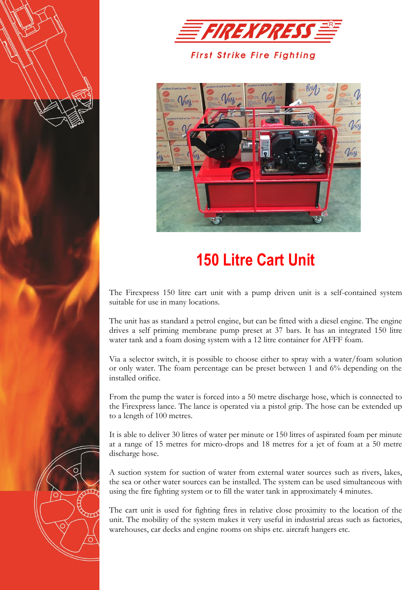



## **First Strike Fire Fighting**



## **150 Litre Cart Unit**

The Firexpress 150 litre cart unit with a pump driven unit is a self-contained system suitable for use in many locations.

The unit has as standard a petrol engine, but can be fitted with a diesel engine. The engine drives a self priming membrane pump preset at 37 bars. It has an integrated 150 litre water tank and a foam dosing system with a 12 litre container for AFFF foam.

Via a selector switch, it is possible to choose either to spray with a water/foam solution or only water. The foam percentage can be preset between 1 and 6% depending on the installed orifice.

From the pump the water is forced into a 50 metre discharge hose, which is connected to the Firexpress lance. The lance is operated via a pistol grip. The hose can be extended up to a length of 100 metres.

It is able to deliver 30 litres of water per minute or 150 litres of aspirated foam per minute at a range of 15 metres for micro-drops and 18 metres for a jet of foam at a 50 metre discharge hose.

A suction system for suction of water from external water sources such as rivers, lakes, the sea or other water sources can be installed. The system can be used simultaneous with using the fire fighting system or to fill the water tank in approximately 4 minutes.

The cart unit is used for fighting fires in relative close proximity to the location of the unit. The mobility of the system makes it very useful in industrial areas such as factories, warehouses, car decks and engine rooms on ships etc. aircraft hangers etc.